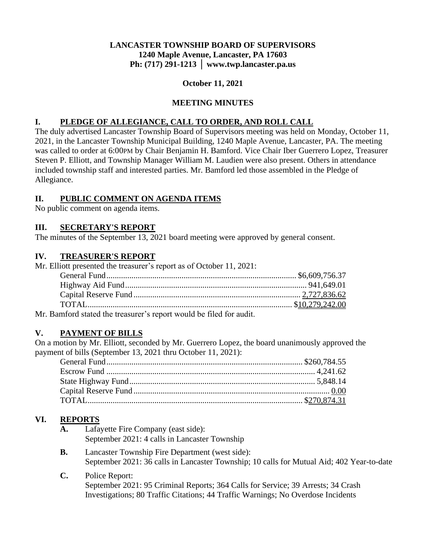## **LANCASTER TOWNSHIP BOARD OF SUPERVISORS 1240 Maple Avenue, Lancaster, PA 17603 Ph: (717) 291-1213 │ www.twp.lancaster.pa.us**

### **October 11, 2021**

## **MEETING MINUTES**

## **I. PLEDGE OF ALLEGIANCE, CALL TO ORDER, AND ROLL CALL**

The duly advertised Lancaster Township Board of Supervisors meeting was held on Monday, October 11, 2021, in the Lancaster Township Municipal Building, 1240 Maple Avenue, Lancaster, PA. The meeting was called to order at 6:00PM by Chair Benjamin H. Bamford. Vice Chair Iber Guerrero Lopez, Treasurer Steven P. Elliott, and Township Manager William M. Laudien were also present. Others in attendance included township staff and interested parties. Mr. Bamford led those assembled in the Pledge of Allegiance.

#### **II. PUBLIC COMMENT ON AGENDA ITEMS**

No public comment on agenda items.

#### **III. SECRETARY'S REPORT**

The minutes of the September 13, 2021 board meeting were approved by general consent.

#### **IV. TREASURER'S REPORT**

Mr. Elliott presented the treasurer's report as of October 11, 2021:

Mr. Bamford stated the treasurer's report would be filed for audit.

## **V. PAYMENT OF BILLS**

On a motion by Mr. Elliott, seconded by Mr. Guerrero Lopez, the board unanimously approved the payment of bills (September 13, 2021 thru October 11, 2021):

## **VI. REPORTS**

- **A.** Lafayette Fire Company (east side): September 2021: 4 calls in Lancaster Township
- **B.** Lancaster Township Fire Department (west side): September 2021: 36 calls in Lancaster Township; 10 calls for Mutual Aid; 402 Year-to-date
- **C.** Police Report: September 2021: 95 Criminal Reports; 364 Calls for Service; 39 Arrests; 34 Crash Investigations; 80 Traffic Citations; 44 Traffic Warnings; No Overdose Incidents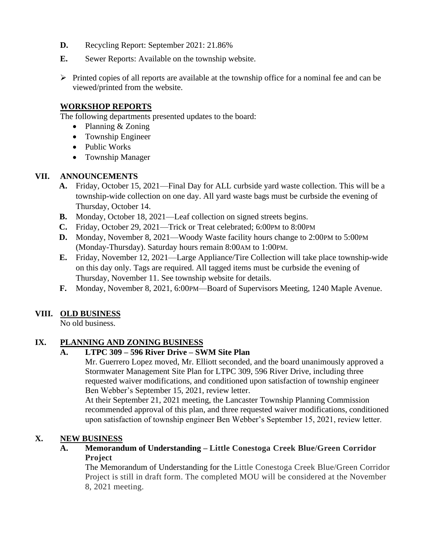- **D.** Recycling Report: September 2021: 21.86%
- **E.** Sewer Reports: Available on the township website.
- ➢ Printed copies of all reports are available at the township office for a nominal fee and can be viewed/printed from the website.

#### **WORKSHOP REPORTS**

The following departments presented updates to the board:

- Planning & Zoning
- Township Engineer
- Public Works
- Township Manager

## **VII. ANNOUNCEMENTS**

- **A.** Friday, October 15, 2021—Final Day for ALL curbside yard waste collection. This will be a township-wide collection on one day. All yard waste bags must be curbside the evening of Thursday, October 14.
- **B.** Monday, October 18, 2021—Leaf collection on signed streets begins.
- **C.** Friday, October 29, 2021—Trick or Treat celebrated; 6:00PM to 8:00PM
- **D.** Monday, November 8, 2021—Woody Waste facility hours change to 2:00PM to 5:00PM (Monday-Thursday). Saturday hours remain 8:00AM to 1:00PM.
- **E.** Friday, November 12, 2021—Large Appliance/Tire Collection will take place township-wide on this day only. Tags are required. All tagged items must be curbside the evening of Thursday, November 11. See township website for details.
- **F.** Monday, November 8, 2021, 6:00PM—Board of Supervisors Meeting, 1240 Maple Avenue.

# **VIII. OLD BUSINESS**

No old business.

# **IX. PLANNING AND ZONING BUSINESS**

## **A. LTPC 309 – 596 River Drive – SWM Site Plan**

Mr. Guerrero Lopez moved, Mr. Elliott seconded, and the board unanimously approved a Stormwater Management Site Plan for LTPC 309, 596 River Drive, including three requested waiver modifications, and conditioned upon satisfaction of township engineer Ben Webber's September 15, 2021, review letter.

At their September 21, 2021 meeting, the Lancaster Township Planning Commission recommended approval of this plan, and three requested waiver modifications, conditioned upon satisfaction of township engineer Ben Webber's September 15, 2021, review letter.

## **X. NEW BUSINESS**

**A. Memorandum of Understanding – Little Conestoga Creek Blue/Green Corridor Project**

The Memorandum of Understanding for the Little Conestoga Creek Blue/Green Corridor Project is still in draft form. The completed MOU will be considered at the November 8, 2021 meeting.